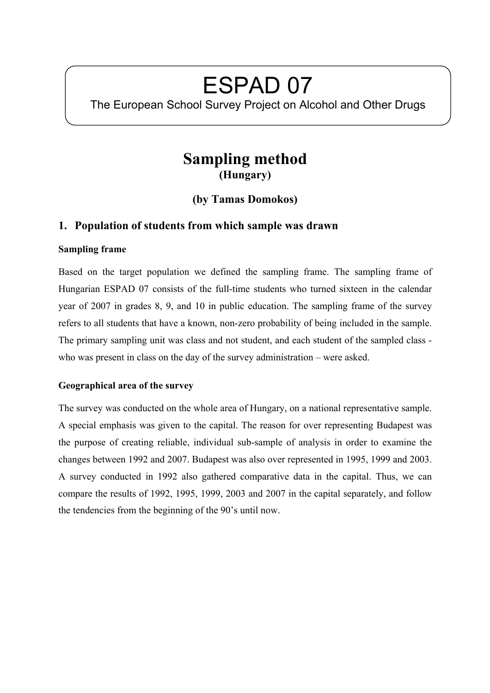# ESPAD 07

The European School Survey Project on Alcohol and Other Drugs

# **Sampling method (Hungary)**

**(by Tamas Domokos)** 

## **1. Population of students from which sample was drawn**

#### **Sampling frame**

Based on the target population we defined the sampling frame. The sampling frame of Hungarian ESPAD 07 consists of the full-time students who turned sixteen in the calendar year of 2007 in grades 8, 9, and 10 in public education. The sampling frame of the survey refers to all students that have a known, non-zero probability of being included in the sample. The primary sampling unit was class and not student, and each student of the sampled class who was present in class on the day of the survey administration – were asked.

### **Geographical area of the survey**

The survey was conducted on the whole area of Hungary, on a national representative sample. A special emphasis was given to the capital. The reason for over representing Budapest was the purpose of creating reliable, individual sub-sample of analysis in order to examine the changes between 1992 and 2007. Budapest was also over represented in 1995, 1999 and 2003. A survey conducted in 1992 also gathered comparative data in the capital. Thus, we can compare the results of 1992, 1995, 1999, 2003 and 2007 in the capital separately, and follow the tendencies from the beginning of the 90's until now.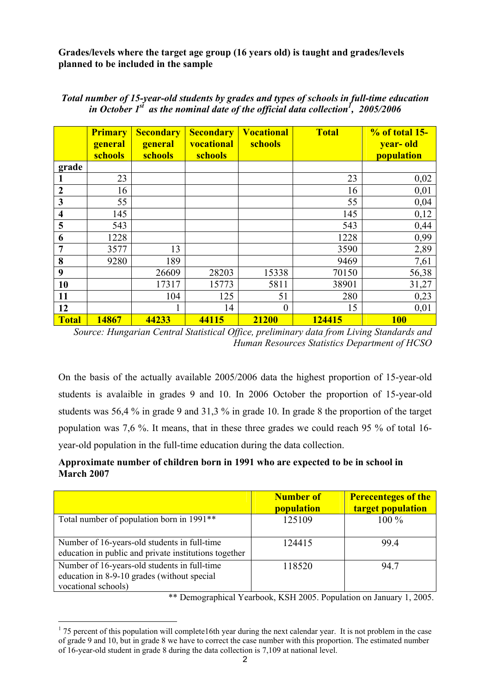**Grades/levels where the target age group (16 years old) is taught and grades/levels planned to be included in the sample** 

|                         | <b>Primary</b><br>general<br>schools | <b>Secondary</b><br>general<br>schools | <b>Secondary</b><br>vocational<br>schools | <b>Vocational</b><br>schools | <b>Total</b> | $% of total 15-$<br>year-old<br>population |
|-------------------------|--------------------------------------|----------------------------------------|-------------------------------------------|------------------------------|--------------|--------------------------------------------|
| grade                   |                                      |                                        |                                           |                              |              |                                            |
|                         | 23                                   |                                        |                                           |                              | 23           | 0,02                                       |
| $\boldsymbol{2}$        | 16                                   |                                        |                                           |                              | 16           | 0,01                                       |
| $\mathbf{3}$            | 55                                   |                                        |                                           |                              | 55           | 0,04                                       |
| $\overline{\mathbf{4}}$ | 145                                  |                                        |                                           |                              | 145          | 0,12                                       |
| 5                       | 543                                  |                                        |                                           |                              | 543          | 0,44                                       |
| 6                       | 1228                                 |                                        |                                           |                              | 1228         | 0,99                                       |
| $\overline{7}$          | 3577                                 | 13                                     |                                           |                              | 3590         | 2,89                                       |
| 8                       | 9280                                 | 189                                    |                                           |                              | 9469         | 7,61                                       |
| 9                       |                                      | 26609                                  | 28203                                     | 15338                        | 70150        | 56,38                                      |
| 10                      |                                      | 17317                                  | 15773                                     | 5811                         | 38901        | 31,27                                      |
| 11                      |                                      | 104                                    | 125                                       | 51                           | 280          | 0,23                                       |
| 12                      |                                      |                                        | 14                                        | $\theta$                     | 15           | 0,01                                       |
| <b>Total</b>            | 14867                                | 44233                                  | 44115                                     | 21200                        | 124415       | <b>100</b>                                 |

*Total number of 15-year-old students by grades and types of schools in full-time education in October 1<sup>st</sup> as the nominal date of the official data collection<sup>1</sup>, 2005/2006* 

*Source: Hungarian Central Statistical Office, preliminary data from Living Standards and Human Resources Statistics Department of HCSO* 

On the basis of the actually available 2005/2006 data the highest proportion of 15-year-old students is avalaible in grades 9 and 10. In 2006 October the proportion of 15-year-old students was 56,4 % in grade 9 and 31,3 % in grade 10. In grade 8 the proportion of the target population was 7,6 %. It means, that in these three grades we could reach 95 % of total 16 year-old population in the full-time education during the data collection.

#### **Approximate number of children born in 1991 who are expected to be in school in March 2007**

|                                                                                                                    | <b>Number of</b><br>population | <b>Perecenteges of the</b><br>target population |
|--------------------------------------------------------------------------------------------------------------------|--------------------------------|-------------------------------------------------|
| Total number of population born in 1991 <sup>**</sup>                                                              | 125109                         | $100\%$                                         |
| Number of 16-years-old students in full-time<br>education in public and private institutions together              | 124415                         | 99.4                                            |
| Number of 16-years-old students in full-time<br>education in 8-9-10 grades (without special<br>vocational schools) | 118520                         | 94.7                                            |

\*\* Demographical Yearbook, KSH 2005. Population on January 1, 2005.

 $\overline{a}$  $1$  75 percent of this population will complete16th year during the next calendar year. It is not problem in the case of grade 9 and 10, but in grade 8 we have to correct the case number with this proportion. The estimated number of 16-year-old student in grade 8 during the data collection is 7,109 at national level.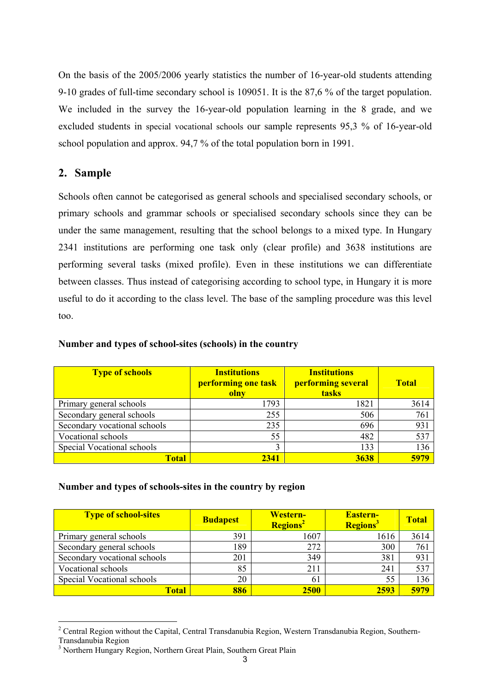On the basis of the 2005/2006 yearly statistics the number of 16-year-old students attending 9-10 grades of full-time secondary school is 109051. It is the 87,6 % of the target population. We included in the survey the 16-year-old population learning in the 8 grade, and we excluded students in special vocational schools our sample represents 95,3 % of 16-year-old school population and approx. 94,7 % of the total population born in 1991.

## **2. Sample**

 $\overline{a}$ 

Schools often cannot be categorised as general schools and specialised secondary schools, or primary schools and grammar schools or specialised secondary schools since they can be under the same management, resulting that the school belongs to a mixed type. In Hungary 2341 institutions are performing one task only (clear profile) and 3638 institutions are performing several tasks (mixed profile). Even in these institutions we can differentiate between classes. Thus instead of categorising according to school type, in Hungary it is more useful to do it according to the class level. The base of the sampling procedure was this level too.

| <b>Type of schools</b>       | <b>Institutions</b><br>performing one task<br>olny | <b>Institutions</b><br>performing several<br>tasks | <b>Total</b> |
|------------------------------|----------------------------------------------------|----------------------------------------------------|--------------|
| Primary general schools      | 1793                                               | 1821                                               | 3614         |
| Secondary general schools    | 255                                                | 506                                                | 761          |
| Secondary vocational schools | 235                                                | 696                                                | 931          |
| Vocational schools           | 55                                                 | 482                                                | 537          |
| Special Vocational schools   |                                                    | 133                                                | 136          |
| Total                        | 2341                                               | 3638                                               | 5979         |

#### **Number and types of school-sites (schools) in the country**

#### **Number and types of schools-sites in the country by region**

| <b>Type of school-sites</b>  | <b>Budapest</b> | <b>Western-</b><br>Regions <sup>2</sup> | <b>Eastern-</b><br>Regions <sup>3</sup> | <b>Total</b> |
|------------------------------|-----------------|-----------------------------------------|-----------------------------------------|--------------|
| Primary general schools      | 391             | 1607                                    | 1616                                    | 3614         |
| Secondary general schools    | 189             | 272                                     | 300                                     | 761          |
| Secondary vocational schools | 201             | 349                                     | 381                                     | 931          |
| Vocational schools           | 85              | 211                                     | 241                                     | 537          |
| Special Vocational schools   | 20              | 61                                      | 55                                      | 136          |
| Total                        | 886             | <b>2500</b>                             | 2593                                    | 5979         |

<sup>&</sup>lt;sup>2</sup> Central Region without the Capital, Central Transdanubia Region, Western Transdanubia Region, Southern-Transdanubia Region

<sup>&</sup>lt;sup>3</sup> Northern Hungary Region, Northern Great Plain, Southern Great Plain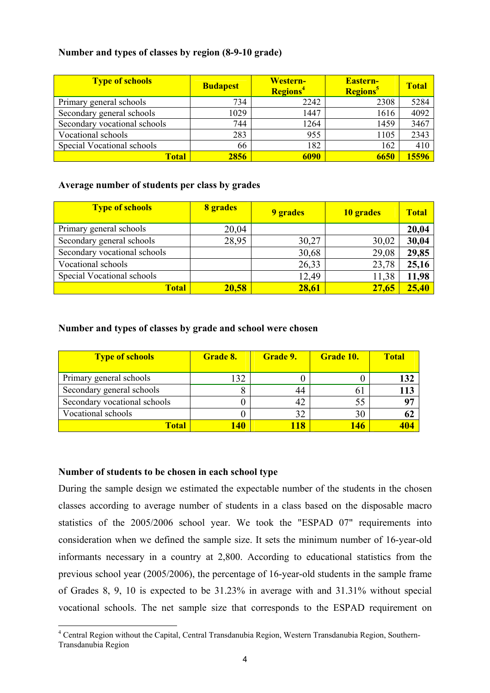#### **Number and types of classes by region (8-9-10 grade)**

| <b>Type of schools</b>       | <b>Budapest</b> | <b>Western-</b><br><b>Regions</b> <sup>4</sup> | <b>Eastern-</b><br><b>Regions</b> <sup>5</sup> | <b>Total</b> |
|------------------------------|-----------------|------------------------------------------------|------------------------------------------------|--------------|
| Primary general schools      | 734             | 2242                                           | 2308                                           | 5284         |
| Secondary general schools    | 1029            | 1447                                           | 1616                                           | 4092         |
| Secondary vocational schools | 744             | 1264                                           | 1459                                           | 3467         |
| Vocational schools           | 283             | 955                                            | 1105                                           | 2343         |
| Special Vocational schools   | 66              | 182                                            | 162                                            | 410          |
| <b>Total</b>                 | 2856            | 6090                                           | 6650                                           | 15596        |

#### **Average number of students per class by grades**

| <b>Type of schools</b>       | 8 grades | 9 grades | 10 grades | <b>Total</b> |
|------------------------------|----------|----------|-----------|--------------|
| Primary general schools      | 20,04    |          |           | 20,04        |
| Secondary general schools    | 28,95    | 30,27    | 30,02     | 30,04        |
| Secondary vocational schools |          | 30,68    | 29,08     | 29,85        |
| Vocational schools           |          | 26,33    | 23,78     | 25,16        |
| Special Vocational schools   |          | 12,49    | 11,38     | 11,98        |
| <b>Total</b>                 | 20,58    | 28,61    | 27,65     | 25,40        |

#### **Number and types of classes by grade and school were chosen**

| <b>Type of schools</b>       | Grade 8.   | <b>Grade 9.</b> | <b>Grade 10.</b> | <b>Total</b> |
|------------------------------|------------|-----------------|------------------|--------------|
| Primary general schools      | 132        |                 |                  | 132          |
| Secondary general schools    | ⋀          | 44              | 61               | L 13         |
| Secondary vocational schools |            | 42              | 55               | 97           |
| Vocational schools           |            | 32              | 30               | 62           |
| <b>Total</b>                 | <b>140</b> | $\sqrt{18}$     | 146              |              |

#### **Number of students to be chosen in each school type**

 $\overline{a}$ 

During the sample design we estimated the expectable number of the students in the chosen classes according to average number of students in a class based on the disposable macro statistics of the 2005/2006 school year. We took the "ESPAD 07" requirements into consideration when we defined the sample size. It sets the minimum number of 16-year-old informants necessary in a country at 2,800. According to educational statistics from the previous school year (2005/2006), the percentage of 16-year-old students in the sample frame of Grades 8, 9, 10 is expected to be 31.23% in average with and 31.31% without special vocational schools. The net sample size that corresponds to the ESPAD requirement on

<sup>&</sup>lt;sup>4</sup> Central Region without the Capital, Central Transdanubia Region, Western Transdanubia Region, Southern-Transdanubia Region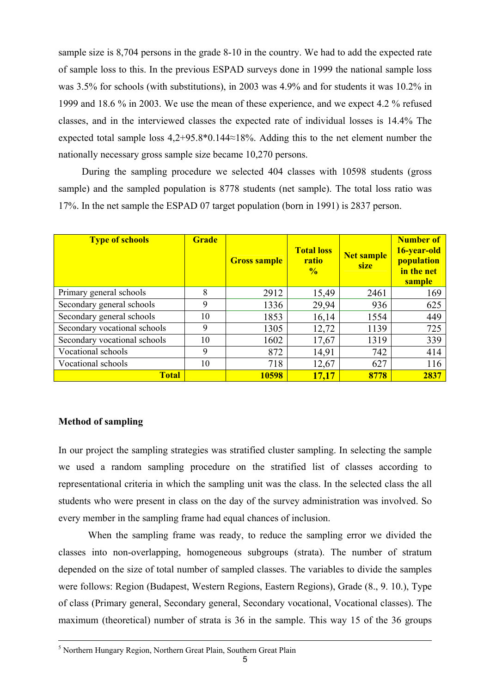sample size is 8,704 persons in the grade 8-10 in the country. We had to add the expected rate of sample loss to this. In the previous ESPAD surveys done in 1999 the national sample loss was 3.5% for schools (with substitutions), in 2003 was 4.9% and for students it was 10.2% in 1999 and 18.6 % in 2003. We use the mean of these experience, and we expect 4.2 % refused classes, and in the interviewed classes the expected rate of individual losses is 14.4% The expected total sample loss 4,2+95.8\*0.144≈18%. Adding this to the net element number the nationally necessary gross sample size became 10,270 persons.

During the sampling procedure we selected 404 classes with 10598 students (gross sample) and the sampled population is 8778 students (net sample). The total loss ratio was 17%. In the net sample the ESPAD 07 target population (born in 1991) is 2837 person.

| <b>Type of schools</b>       | <b>Grade</b> | <b>Gross sample</b> | <b>Total loss</b><br>ratio<br>$\frac{0}{6}$ | <b>Net sample</b><br>size | <b>Number of</b><br>16-year-old<br>population<br>in the net<br>sample |
|------------------------------|--------------|---------------------|---------------------------------------------|---------------------------|-----------------------------------------------------------------------|
| Primary general schools      | 8            | 2912                | 15,49                                       | 2461                      | 169                                                                   |
| Secondary general schools    | 9            | 1336                | 29,94                                       | 936                       | 625                                                                   |
| Secondary general schools    | 10           | 1853                | 16,14                                       | 1554                      | 449                                                                   |
| Secondary vocational schools | 9            | 1305                | 12,72                                       | 1139                      | 725                                                                   |
| Secondary vocational schools | 10           | 1602                | 17,67                                       | 1319                      | 339                                                                   |
| Vocational schools           | 9            | 872                 | 14,91                                       | 742                       | 414                                                                   |
| Vocational schools           | 10           | 718                 | 12,67                                       | 627                       | 116                                                                   |
| <b>Total</b>                 |              | 10598               | 17,17                                       | 8778                      | 2837                                                                  |

#### **Method of sampling**

In our project the sampling strategies was stratified cluster sampling. In selecting the sample we used a random sampling procedure on the stratified list of classes according to representational criteria in which the sampling unit was the class. In the selected class the all students who were present in class on the day of the survey administration was involved. So every member in the sampling frame had equal chances of inclusion.

When the sampling frame was ready, to reduce the sampling error we divided the classes into non-overlapping, homogeneous subgroups (strata). The number of stratum depended on the size of total number of sampled classes. The variables to divide the samples were follows: Region (Budapest, Western Regions, Eastern Regions), Grade (8., 9. 10.), Type of class (Primary general, Secondary general, Secondary vocational, Vocational classes). The maximum (theoretical) number of strata is 36 in the sample. This way 15 of the 36 groups

 <sup>5</sup> <sup>5</sup> Northern Hungary Region, Northern Great Plain, Southern Great Plain

<sup>5</sup>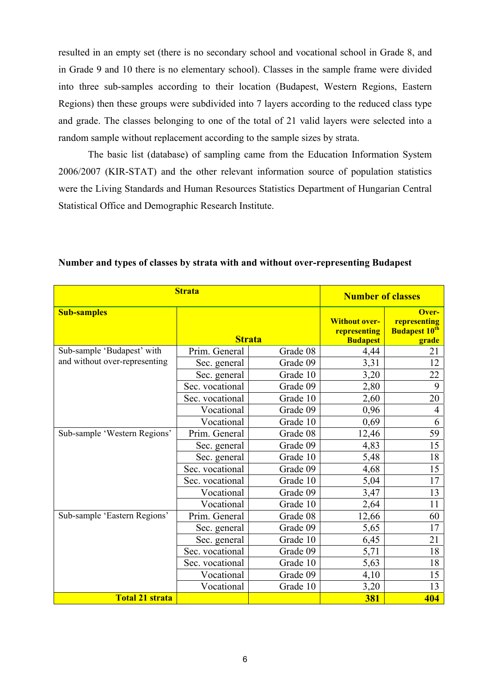resulted in an empty set (there is no secondary school and vocational school in Grade 8, and in Grade 9 and 10 there is no elementary school). Classes in the sample frame were divided into three sub-samples according to their location (Budapest, Western Regions, Eastern Regions) then these groups were subdivided into 7 layers according to the reduced class type and grade. The classes belonging to one of the total of 21 valid layers were selected into a random sample without replacement according to the sample sizes by strata.

The basic list (database) of sampling came from the Education Information System 2006/2007 (KIR-STAT) and the other relevant information source of population statistics were the Living Standards and Human Resources Statistics Department of Hungarian Central Statistical Office and Demographic Research Institute.

|                               | <b>Strata</b>   |               |                                                         |                                                        |
|-------------------------------|-----------------|---------------|---------------------------------------------------------|--------------------------------------------------------|
| <b>Sub-samples</b>            |                 | <b>Strata</b> | <b>Without over-</b><br>representing<br><b>Budapest</b> | Over-<br>representing<br><b>Budapest 10th</b><br>grade |
| Sub-sample 'Budapest' with    | Prim. General   | Grade 08      | 4,44                                                    | 21                                                     |
| and without over-representing | Sec. general    | Grade 09      | 3,31                                                    | 12                                                     |
|                               | Sec. general    | Grade 10      | 3,20                                                    | 22                                                     |
|                               | Sec. vocational | Grade 09      | 2,80                                                    | 9                                                      |
|                               | Sec. vocational | Grade 10      | 2,60                                                    | 20                                                     |
|                               | Vocational      | Grade 09      | 0,96                                                    | 4                                                      |
|                               | Vocational      | Grade 10      | 0,69                                                    | 6                                                      |
| Sub-sample 'Western Regions'  | Prim. General   | Grade 08      | 12,46                                                   | 59                                                     |
|                               | Sec. general    | Grade 09      | 4,83                                                    | 15                                                     |
|                               | Sec. general    | Grade 10      | 5,48                                                    | 18                                                     |
|                               | Sec. vocational | Grade 09      | 4,68                                                    | 15                                                     |
|                               | Sec. vocational | Grade 10      | 5,04                                                    | 17                                                     |
|                               | Vocational      | Grade 09      | 3,47                                                    | 13                                                     |
|                               | Vocational      | Grade 10      | 2,64                                                    | 11                                                     |
| Sub-sample 'Eastern Regions'  | Prim. General   | Grade 08      | 12,66                                                   | 60                                                     |
|                               | Sec. general    | Grade 09      | 5,65                                                    | 17                                                     |
|                               | Sec. general    | Grade 10      | 6,45                                                    | 21                                                     |
|                               | Sec. vocational | Grade 09      | 5,71                                                    | 18                                                     |
|                               | Sec. vocational | Grade 10      | 5,63                                                    | 18                                                     |
|                               | Vocational      | Grade 09      | 4,10                                                    | 15                                                     |
|                               | Vocational      | Grade 10      | 3,20                                                    | 13                                                     |
| <b>Total 21 strata</b>        |                 |               | <b>381</b>                                              | 404                                                    |

**Number and types of classes by strata with and without over-representing Budapest**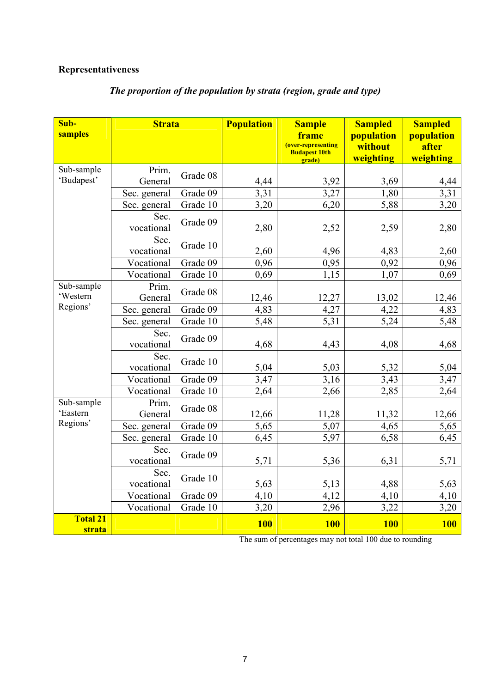## **Representativeness**

| Sub-<br>samples           | <b>Strata</b>      |          | <b>Population</b> | <b>Sample</b><br>frame<br>(over-representing | <b>Sampled</b><br>population<br>without | <b>Sampled</b><br>population<br>after |
|---------------------------|--------------------|----------|-------------------|----------------------------------------------|-----------------------------------------|---------------------------------------|
|                           |                    |          |                   | <b>Budapest 10th</b><br>grade)               | weighting                               | weighting                             |
| Sub-sample<br>'Budapest'  | Prim.<br>General   | Grade 08 | 4,44              | 3,92                                         | 3,69                                    | 4,44                                  |
|                           | Sec. general       | Grade 09 | 3,31              | 3,27                                         | 1,80                                    | 3,31                                  |
|                           | Sec. general       | Grade 10 | 3,20              | 6,20                                         | 5,88                                    | 3,20                                  |
|                           | Sec.<br>vocational | Grade 09 | 2,80              | 2,52                                         | 2,59                                    | 2,80                                  |
|                           | Sec.<br>vocational | Grade 10 | 2,60              | 4,96                                         | 4,83                                    | 2,60                                  |
|                           | Vocational         | Grade 09 | 0,96              | 0,95                                         | 0,92                                    | 0,96                                  |
|                           | Vocational         | Grade 10 | 0,69              | 1,15                                         | 1,07                                    | 0,69                                  |
| Sub-sample<br>'Western    | Prim.<br>General   | Grade 08 | 12,46             | 12,27                                        | 13,02                                   | 12,46                                 |
| Regions'                  | Sec. general       | Grade 09 | 4,83              | 4,27                                         | 4,22                                    | 4,83                                  |
|                           | Sec. general       | Grade 10 | 5,48              | 5,31                                         | 5,24                                    | 5,48                                  |
|                           | Sec.<br>vocational | Grade 09 | 4,68              | 4,43                                         | 4,08                                    | 4,68                                  |
|                           | Sec.<br>vocational | Grade 10 | 5,04              | 5,03                                         | 5,32                                    | 5,04                                  |
|                           | Vocational         | Grade 09 | 3,47              | 3,16                                         | 3,43                                    | 3,47                                  |
|                           | Vocational         | Grade 10 | 2,64              | 2,66                                         | 2,85                                    | 2,64                                  |
| Sub-sample<br>'Eastern    | Prim.<br>General   | Grade 08 | 12,66             | 11,28                                        | 11,32                                   | 12,66                                 |
| Regions'                  | Sec. general       | Grade 09 | 5,65              | 5,07                                         | 4,65                                    | 5,65                                  |
|                           | Sec. general       | Grade 10 | 6,45              | 5,97                                         | 6,58                                    | 6,45                                  |
|                           | Sec.<br>vocational | Grade 09 | 5,71              | 5,36                                         | 6,31                                    | 5,71                                  |
|                           | Sec.<br>vocational | Grade 10 | 5,63              | 5,13                                         | 4,88                                    | 5,63                                  |
|                           | Vocational         | Grade 09 | 4,10              | 4,12                                         | 4,10                                    | 4,10                                  |
|                           | Vocational         | Grade 10 | 3,20              | 2,96                                         | 3,22                                    | 3,20                                  |
| <b>Total 21</b><br>strata |                    |          | <b>100</b>        | <b>100</b>                                   | <b>100</b>                              | <b>100</b>                            |

# *The proportion of the population by strata (region, grade and type)*

The sum of percentages may not total 100 due to rounding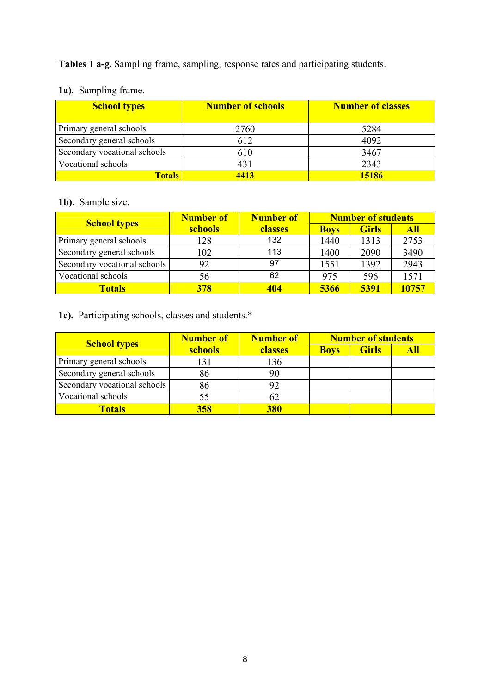**Tables 1 a-g.** Sampling frame, sampling, response rates and participating students.

| <b>School types</b>          | <b>Number of schools</b> | <b>Number of classes</b> |
|------------------------------|--------------------------|--------------------------|
| Primary general schools      | 2760                     | 5284                     |
| Secondary general schools    | 612                      | 4092                     |
| Secondary vocational schools | 610                      | 3467                     |
| Vocational schools           | 431                      | 2343                     |
| <b>Totals</b>                | 4413                     | 15186                    |

# **1a).** Sampling frame.

#### **1b).** Sample size.

|                              | Number of | <b>Number of</b> |             | <b>Number of students</b> |            |
|------------------------------|-----------|------------------|-------------|---------------------------|------------|
| <b>School types</b>          | schools   | classes          | <b>Boys</b> | <b>Girls</b>              | <b>All</b> |
| Primary general schools      | 128       | 132              | 1440        | 1313                      | 2753       |
| Secondary general schools    | 102       | 113              | 1400        | 2090                      | 3490       |
| Secondary vocational schools | 92        | 97               | 1551        | 1392                      | 2943       |
| Vocational schools           | 56        | 62               | 975         | 596                       | 1571       |
| <b>Totals</b>                | 378       | 404              | 5366        | 5391                      | 10757      |

# **1c).** Participating schools, classes and students.\*

|                              | Number of | <b>Number of</b><br>classes | <b>Number of students</b> |              |     |
|------------------------------|-----------|-----------------------------|---------------------------|--------------|-----|
| <b>School types</b>          | schools   |                             | <b>Boys</b>               | <b>Girls</b> | All |
| Primary general schools      | 131       | 136                         |                           |              |     |
| Secondary general schools    |           | 90                          |                           |              |     |
| Secondary vocational schools | 86        |                             |                           |              |     |
| Vocational schools           |           | 62                          |                           |              |     |
| <b>Totals</b>                | 358       | 380                         |                           |              |     |